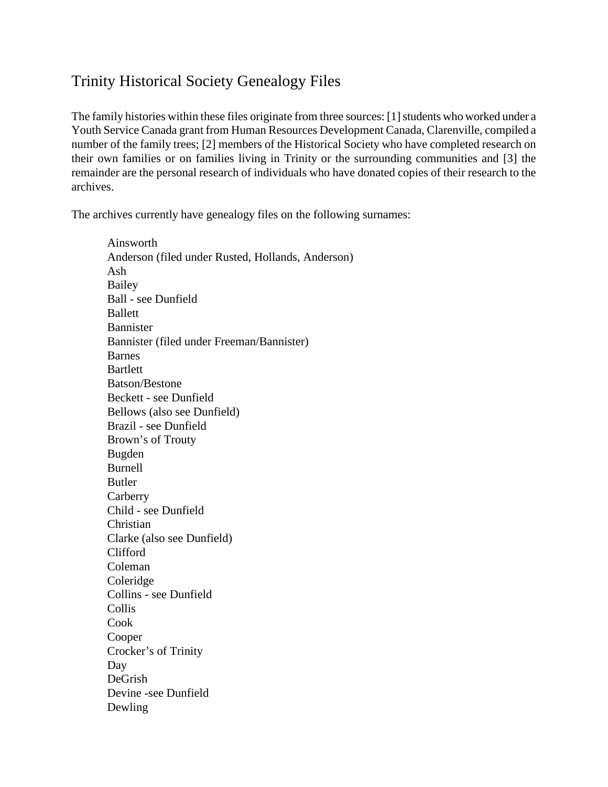## Trinity Historical Society Genealogy Files

The family histories within these files originate from three sources: [1] students who worked under a Youth Service Canada grant from Human Resources Development Canada, Clarenville, compiled a number of the family trees; [2] members of the Historical Society who have completed research on their own families or on families living in Trinity or the surrounding communities and [3] the remainder are the personal research of individuals who have donated copies of their research to the archives.

The archives currently have genealogy files on the following surnames:

Ainsworth Anderson (filed under Rusted, Hollands, Anderson) Ash Bailey Ball - see Dunfield Ballett Bannister Bannister (filed under Freeman/Bannister) Barnes **Bartlett** Batson/Bestone Beckett - see Dunfield Bellows (also see Dunfield) Brazil - see Dunfield Brown's of Trouty Bugden Burnell Butler **Carberry** Child - see Dunfield Christian Clarke (also see Dunfield) Clifford Coleman Coleridge Collins - see Dunfield Collis Cook Cooper Crocker's of Trinity Day DeGrish Devine -see Dunfield Dewling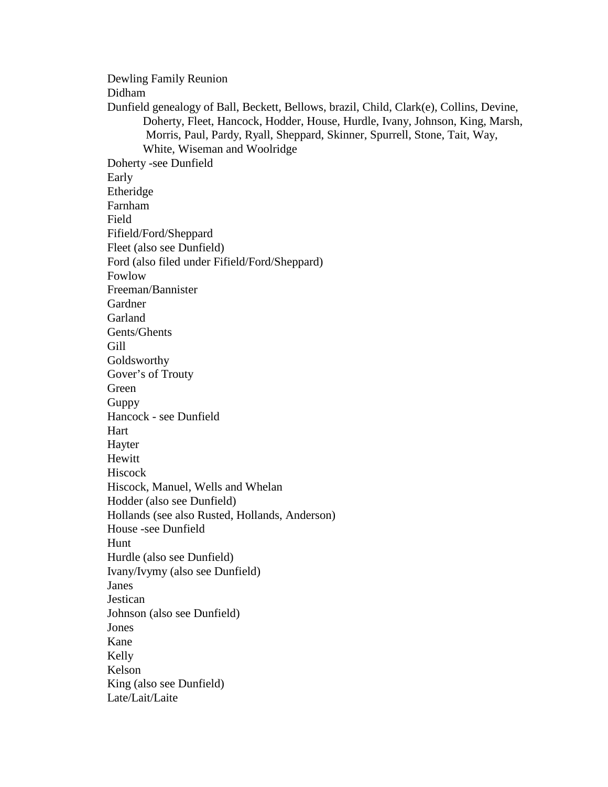Dewling Family Reunion Didham Dunfield genealogy of Ball, Beckett, Bellows, brazil, Child, Clark(e), Collins, Devine, Doherty, Fleet, Hancock, Hodder, House, Hurdle, Ivany, Johnson, King, Marsh, Morris, Paul, Pardy, Ryall, Sheppard, Skinner, Spurrell, Stone, Tait, Way, White, Wiseman and Woolridge Doherty -see Dunfield Early Etheridge Farnham Field Fifield/Ford/Sheppard Fleet (also see Dunfield) Ford (also filed under Fifield/Ford/Sheppard) Fowlow Freeman/Bannister Gardner **Garland** Gents/Ghents Gill Goldsworthy Gover's of Trouty Green Guppy Hancock - see Dunfield Hart Hayter Hewitt Hiscock Hiscock, Manuel, Wells and Whelan Hodder (also see Dunfield) Hollands (see also Rusted, Hollands, Anderson) House -see Dunfield Hunt Hurdle (also see Dunfield) Ivany/Ivymy (also see Dunfield) Janes **Jestican** Johnson (also see Dunfield) Jones Kane Kelly Kelson King (also see Dunfield) Late/Lait/Laite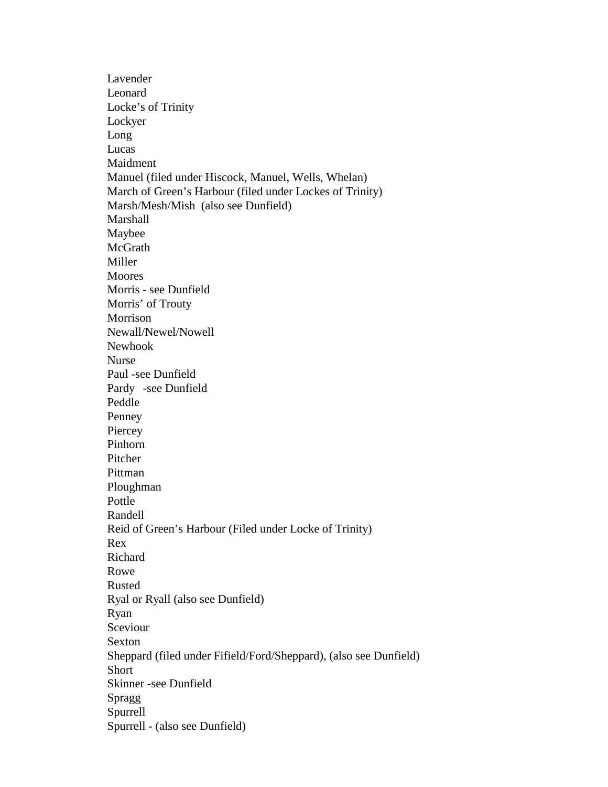Lavender Leonard Locke's of Trinity Lockyer Long Lucas Maidment Manuel (filed under Hiscock, Manuel, Wells, Whelan) March of Green's Harbour (filed under Lockes of Trinity) Marsh/Mesh/Mish (also see Dunfield) Marshall Maybee McGrath Miller Moores Morris - see Dunfield Morris' of Trouty Morrison Newall/Newel/Nowell Newhook Nurse Paul -see Dunfield Pardy -see Dunfield Peddle Penney **Piercey** Pinhorn Pitcher Pittman Ploughman Pottle Randell Reid of Green's Harbour (Filed under Locke of Trinity) Rex Richard Rowe Rusted Ryal or Ryall (also see Dunfield) Ryan Sceviour Sexton Sheppard (filed under Fifield/Ford/Sheppard), (also see Dunfield) **Short** Skinner -see Dunfield Spragg Spurrell Spurrell - (also see Dunfield)